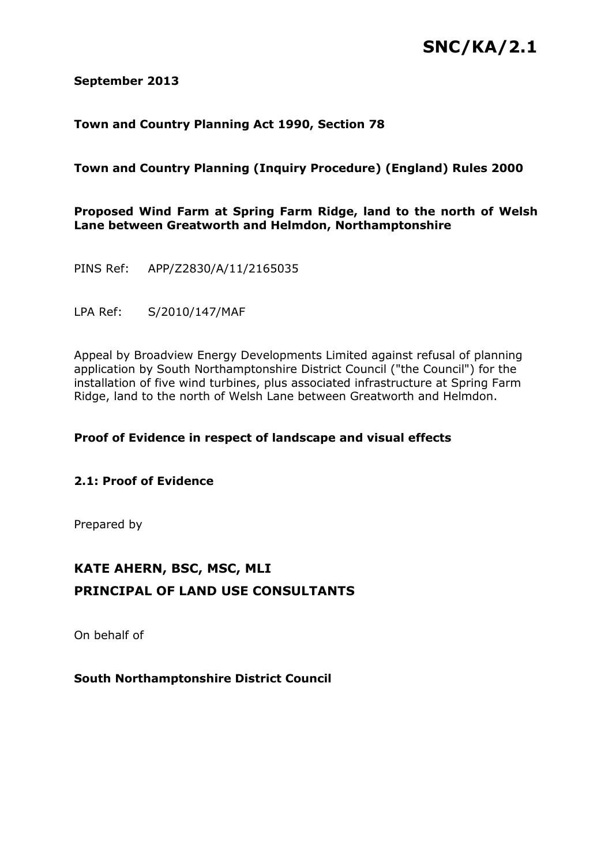# **SNC/KA/2.1**

# **September 2013**

# **Town and Country Planning Act 1990, Section 78**

# **Town and Country Planning (Inquiry Procedure) (England) Rules 2000**

# **Proposed Wind Farm at Spring Farm Ridge, land to the north of Welsh Lane between Greatworth and Helmdon, Northamptonshire**

PINS Ref: APP/Z2830/A/11/2165035

LPA Ref: S/2010/147/MAF

Appeal by Broadview Energy Developments Limited against refusal of planning application by South Northamptonshire District Council ("the Council") for the installation of five wind turbines, plus associated infrastructure at Spring Farm Ridge, land to the north of Welsh Lane between Greatworth and Helmdon.

# **Proof of Evidence in respect of landscape and visual effects**

# **2.1: Proof of Evidence**

Prepared by

# **KATE AHERN, BSC, MSC, MLI PRINCIPAL OF LAND USE CONSULTANTS**

On behalf of

**South Northamptonshire District Council**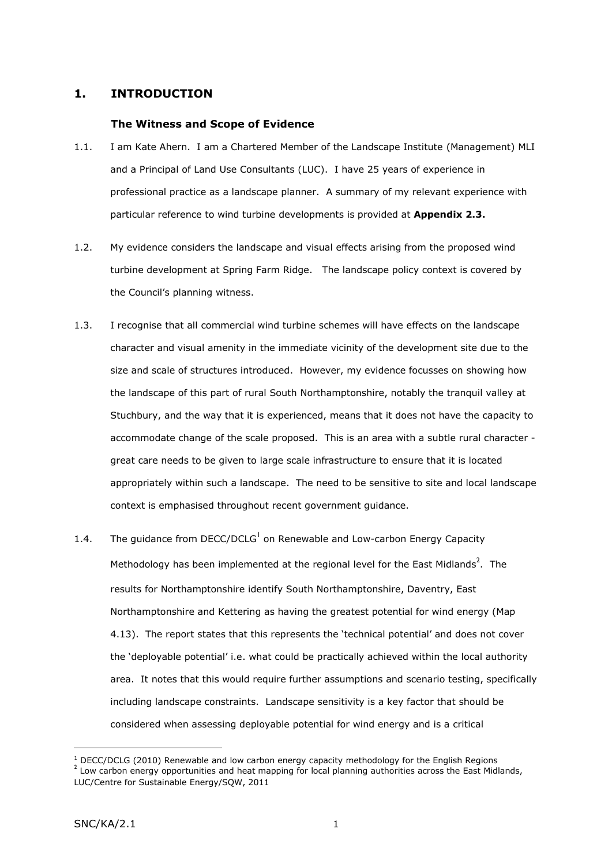# **1. INTRODUCTION**

## **The Witness and Scope of Evidence**

- 1.1. I am Kate Ahern. I am a Chartered Member of the Landscape Institute (Management) MLI and a Principal of Land Use Consultants (LUC). I have 25 years of experience in professional practice as a landscape planner. A summary of my relevant experience with particular reference to wind turbine developments is provided at **Appendix 2.3.**
- 1.2. My evidence considers the landscape and visual effects arising from the proposed wind turbine development at Spring Farm Ridge. The landscape policy context is covered by the Council's planning witness.
- 1.3. I recognise that all commercial wind turbine schemes will have effects on the landscape character and visual amenity in the immediate vicinity of the development site due to the size and scale of structures introduced. However, my evidence focusses on showing how the landscape of this part of rural South Northamptonshire, notably the tranquil valley at Stuchbury, and the way that it is experienced, means that it does not have the capacity to accommodate change of the scale proposed. This is an area with a subtle rural character great care needs to be given to large scale infrastructure to ensure that it is located appropriately within such a landscape. The need to be sensitive to site and local landscape context is emphasised throughout recent government guidance.
- 1.4. The guidance from DECC/DCLG<sup>1</sup> on Renewable and Low-carbon Energy Capacity Methodology has been implemented at the regional level for the East Midlands<sup>2</sup>. The results for Northamptonshire identify South Northamptonshire, Daventry, East Northamptonshire and Kettering as having the greatest potential for wind energy (Map 4.13). The report states that this represents the 'technical potential' and does not cover the 'deployable potential' i.e. what could be practically achieved within the local authority area. It notes that this would require further assumptions and scenario testing, specifically including landscape constraints. Landscape sensitivity is a key factor that should be considered when assessing deployable potential for wind energy and is a critical

 $1$  DECC/DCLG (2010) Renewable and low carbon energy capacity methodology for the English Regions  $<sup>2</sup>$  Low carbon energy opportunities and heat mapping for local planning authorities across the East Midlands,</sup> LUC/Centre for Sustainable Energy/SQW, 2011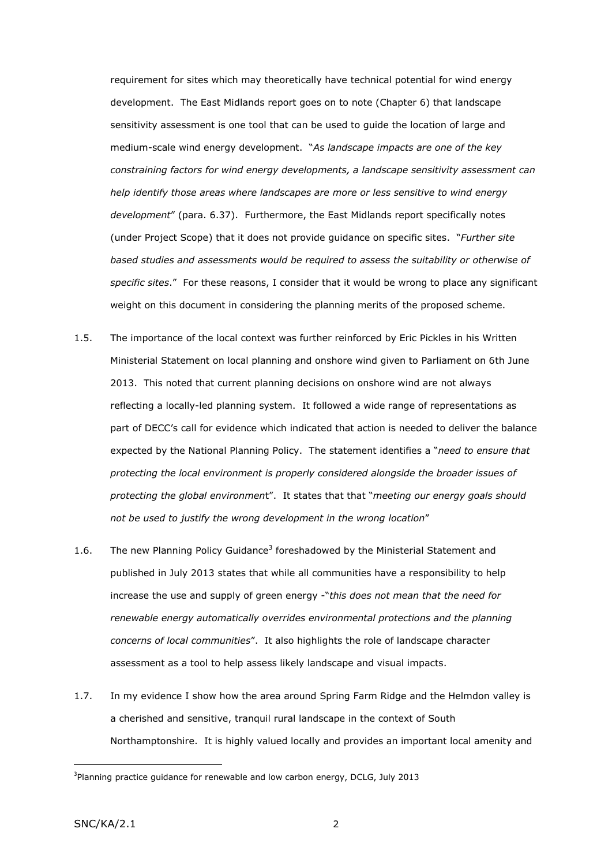requirement for sites which may theoretically have technical potential for wind energy development. The East Midlands report goes on to note (Chapter 6) that landscape sensitivity assessment is one tool that can be used to guide the location of large and medium-scale wind energy development. "*As landscape impacts are one of the key constraining factors for wind energy developments, a landscape sensitivity assessment can help identify those areas where landscapes are more or less sensitive to wind energy development*" (para. 6.37). Furthermore, the East Midlands report specifically notes (under Project Scope) that it does not provide guidance on specific sites. "*Further site based studies and assessments would be required to assess the suitability or otherwise of specific sites*." For these reasons, I consider that it would be wrong to place any significant weight on this document in considering the planning merits of the proposed scheme.

- 1.5. The importance of the local context was further reinforced by Eric Pickles in his Written Ministerial Statement on local planning and onshore wind given to Parliament on 6th June 2013. This noted that current planning decisions on onshore wind are not always reflecting a locally-led planning system. It followed a wide range of representations as part of DECC's call for evidence which indicated that action is needed to deliver the balance expected by the National Planning Policy. The statement identifies a "*need to ensure that protecting the local environment is properly considered alongside the broader issues of protecting the global environmen*t". It states that that "*meeting our energy goals should not be used to justify the wrong development in the wrong location*"
- 1.6. The new Planning Policy Guidance<sup>3</sup> foreshadowed by the Ministerial Statement and published in July 2013 states that while all communities have a responsibility to help increase the use and supply of green energy -"*this does not mean that the need for renewable energy automatically overrides environmental protections and the planning concerns of local communities*". It also highlights the role of landscape character assessment as a tool to help assess likely landscape and visual impacts.
- 1.7. In my evidence I show how the area around Spring Farm Ridge and the Helmdon valley is a cherished and sensitive, tranquil rural landscape in the context of South Northamptonshire. It is highly valued locally and provides an important local amenity and

<sup>&</sup>lt;sup>3</sup>Planning practice guidance for renewable and low carbon energy, DCLG, July 2013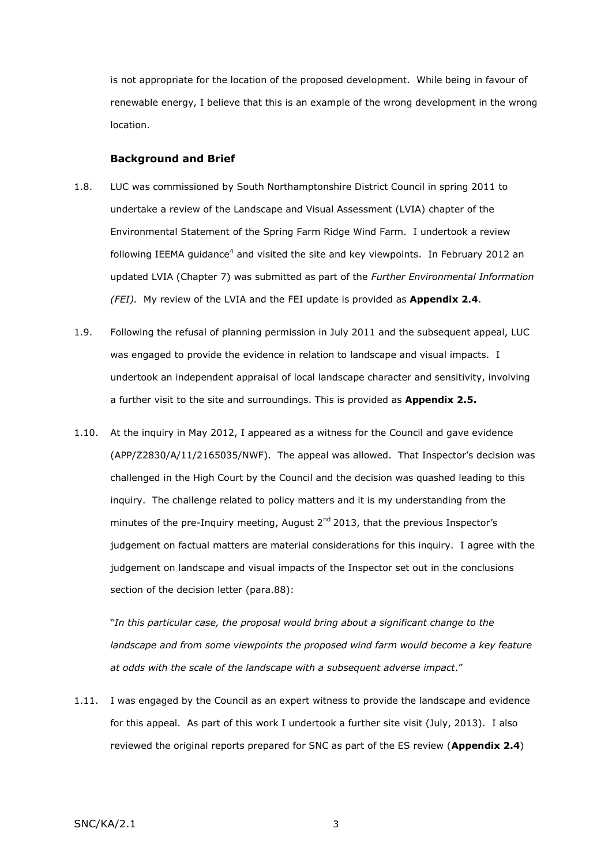is not appropriate for the location of the proposed development. While being in favour of renewable energy, I believe that this is an example of the wrong development in the wrong location.

#### **Background and Brief**

- 1.8. LUC was commissioned by South Northamptonshire District Council in spring 2011 to undertake a review of the Landscape and Visual Assessment (LVIA) chapter of the Environmental Statement of the Spring Farm Ridge Wind Farm. I undertook a review following IEEMA guidance<sup>4</sup> and visited the site and key viewpoints. In February 2012 an updated LVIA (Chapter 7) was submitted as part of the *Further Environmental Information (FEI).* My review of the LVIA and the FEI update is provided as **Appendix 2.4**.
- 1.9. Following the refusal of planning permission in July 2011 and the subsequent appeal, LUC was engaged to provide the evidence in relation to landscape and visual impacts. I undertook an independent appraisal of local landscape character and sensitivity, involving a further visit to the site and surroundings. This is provided as **Appendix 2.5.**
- 1.10. At the inquiry in May 2012, I appeared as a witness for the Council and gave evidence (APP/Z2830/A/11/2165035/NWF). The appeal was allowed. That Inspector's decision was challenged in the High Court by the Council and the decision was quashed leading to this inquiry. The challenge related to policy matters and it is my understanding from the minutes of the pre-Inquiry meeting, August  $2<sup>nd</sup>$  2013, that the previous Inspector's judgement on factual matters are material considerations for this inquiry. I agree with the judgement on landscape and visual impacts of the Inspector set out in the conclusions section of the decision letter (para.88):

"*In this particular case, the proposal would bring about a significant change to the landscape and from some viewpoints the proposed wind farm would become a key feature at odds with the scale of the landscape with a subsequent adverse impact*."

1.11. I was engaged by the Council as an expert witness to provide the landscape and evidence for this appeal. As part of this work I undertook a further site visit (July, 2013). I also reviewed the original reports prepared for SNC as part of the ES review (**Appendix 2.4**)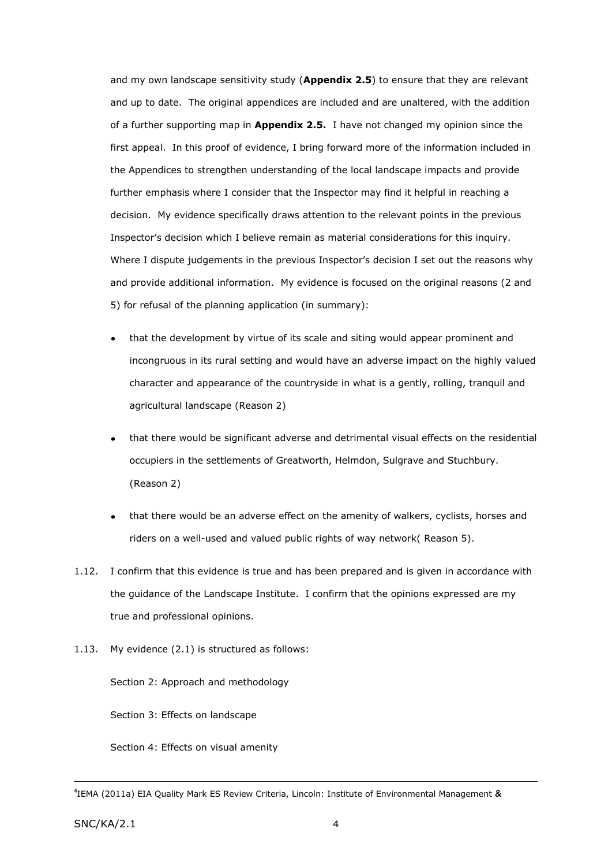and my own landscape sensitivity study (**Appendix 2.5**) to ensure that they are relevant and up to date. The original appendices are included and are unaltered, with the addition of a further supporting map in **Appendix 2.5.** I have not changed my opinion since the first appeal. In this proof of evidence, I bring forward more of the information included in the Appendices to strengthen understanding of the local landscape impacts and provide further emphasis where I consider that the Inspector may find it helpful in reaching a decision. My evidence specifically draws attention to the relevant points in the previous Inspector's decision which I believe remain as material considerations for this inquiry. Where I dispute judgements in the previous Inspector's decision I set out the reasons why and provide additional information. My evidence is focused on the original reasons (2 and 5) for refusal of the planning application (in summary):

- that the development by virtue of its scale and siting would appear prominent and incongruous in its rural setting and would have an adverse impact on the highly valued character and appearance of the countryside in what is a gently, rolling, tranquil and agricultural landscape (Reason 2)
- that there would be significant adverse and detrimental visual effects on the residential occupiers in the settlements of Greatworth, Helmdon, Sulgrave and Stuchbury. (Reason 2)
- that there would be an adverse effect on the amenity of walkers, cyclists, horses and riders on a well-used and valued public rights of way network( Reason 5).
- 1.12. I confirm that this evidence is true and has been prepared and is given in accordance with the guidance of the Landscape Institute. I confirm that the opinions expressed are my true and professional opinions.
- 1.13. My evidence (2.1) is structured as follows:

Section 2: Approach and methodology

Section 3: Effects on landscape

Section 4: Effects on visual amenity

<sup>4</sup> IEMA (2011a) EIA Quality Mark ES Review Criteria, Lincoln: Institute of Environmental Management &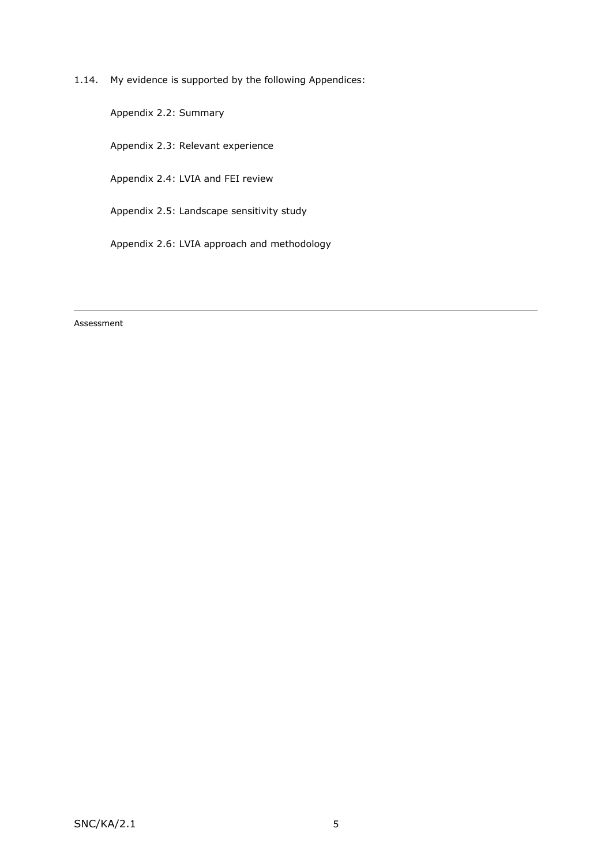1.14. My evidence is supported by the following Appendices:

Appendix 2.2: Summary

Appendix 2.3: Relevant experience

Appendix 2.4: LVIA and FEI review

Appendix 2.5: Landscape sensitivity study

Appendix 2.6: LVIA approach and methodology

Assessment

<u>.</u>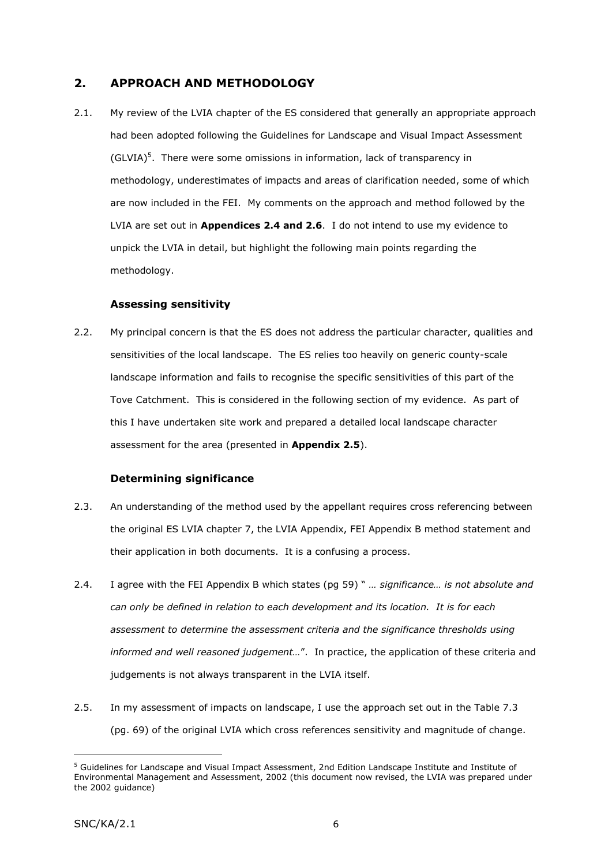# **2. APPROACH AND METHODOLOGY**

2.1. My review of the LVIA chapter of the ES considered that generally an appropriate approach had been adopted following the Guidelines for Landscape and Visual Impact Assessment  $(GLVIA)<sup>5</sup>$ . There were some omissions in information, lack of transparency in methodology, underestimates of impacts and areas of clarification needed, some of which are now included in the FEI. My comments on the approach and method followed by the LVIA are set out in **Appendices 2.4 and 2.6**. I do not intend to use my evidence to unpick the LVIA in detail, but highlight the following main points regarding the methodology.

# **Assessing sensitivity**

2.2. My principal concern is that the ES does not address the particular character, qualities and sensitivities of the local landscape. The ES relies too heavily on generic county-scale landscape information and fails to recognise the specific sensitivities of this part of the Tove Catchment. This is considered in the following section of my evidence. As part of this I have undertaken site work and prepared a detailed local landscape character assessment for the area (presented in **Appendix 2.5**).

# **Determining significance**

- 2.3. An understanding of the method used by the appellant requires cross referencing between the original ES LVIA chapter 7, the LVIA Appendix, FEI Appendix B method statement and their application in both documents. It is a confusing a process.
- 2.4. I agree with the FEI Appendix B which states (pg 59) " *… significance… is not absolute and can only be defined in relation to each development and its location. It is for each assessment to determine the assessment criteria and the significance thresholds using informed and well reasoned judgement…*". In practice, the application of these criteria and judgements is not always transparent in the LVIA itself.
- 2.5. In my assessment of impacts on landscape, I use the approach set out in the Table 7.3 (pg. 69) of the original LVIA which cross references sensitivity and magnitude of change.

<sup>5</sup> Guidelines for Landscape and Visual Impact Assessment, 2nd Edition Landscape Institute and Institute of Environmental Management and Assessment, 2002 (this document now revised, the LVIA was prepared under the 2002 guidance)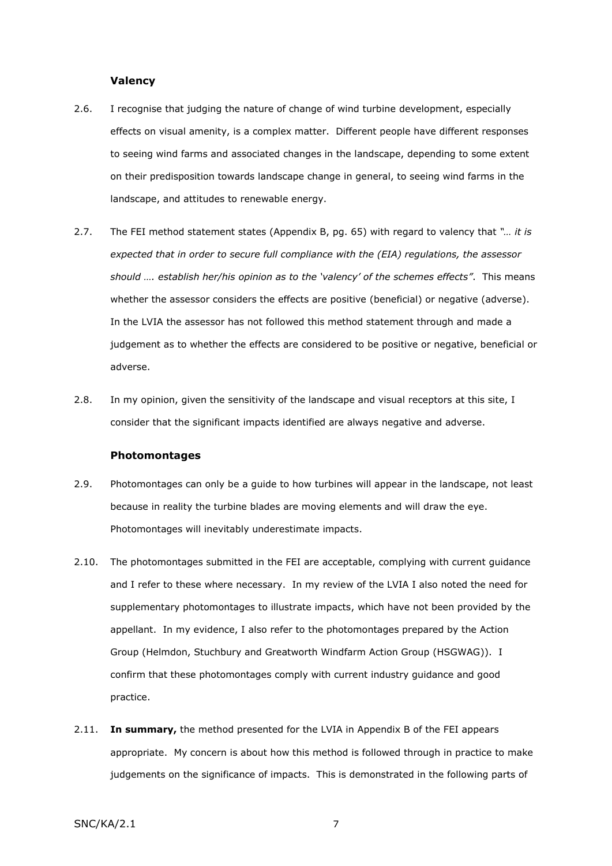#### **Valency**

- 2.6. I recognise that judging the nature of change of wind turbine development, especially effects on visual amenity, is a complex matter. Different people have different responses to seeing wind farms and associated changes in the landscape, depending to some extent on their predisposition towards landscape change in general, to seeing wind farms in the landscape, and attitudes to renewable energy.
- 2.7. The FEI method statement states (Appendix B, pg. 65) with regard to valency that *"… it is expected that in order to secure full compliance with the (EIA) regulations, the assessor should …. establish her/his opinion as to the 'valency' of the schemes effects"*. This means whether the assessor considers the effects are positive (beneficial) or negative (adverse). In the LVIA the assessor has not followed this method statement through and made a judgement as to whether the effects are considered to be positive or negative, beneficial or adverse.
- 2.8. In my opinion, given the sensitivity of the landscape and visual receptors at this site, I consider that the significant impacts identified are always negative and adverse.

#### **Photomontages**

- 2.9. Photomontages can only be a guide to how turbines will appear in the landscape, not least because in reality the turbine blades are moving elements and will draw the eye. Photomontages will inevitably underestimate impacts.
- 2.10. The photomontages submitted in the FEI are acceptable, complying with current guidance and I refer to these where necessary. In my review of the LVIA I also noted the need for supplementary photomontages to illustrate impacts, which have not been provided by the appellant. In my evidence, I also refer to the photomontages prepared by the Action Group (Helmdon, Stuchbury and Greatworth Windfarm Action Group (HSGWAG)). I confirm that these photomontages comply with current industry guidance and good practice.
- 2.11. **In summary,** the method presented for the LVIA in Appendix B of the FEI appears appropriate. My concern is about how this method is followed through in practice to make judgements on the significance of impacts. This is demonstrated in the following parts of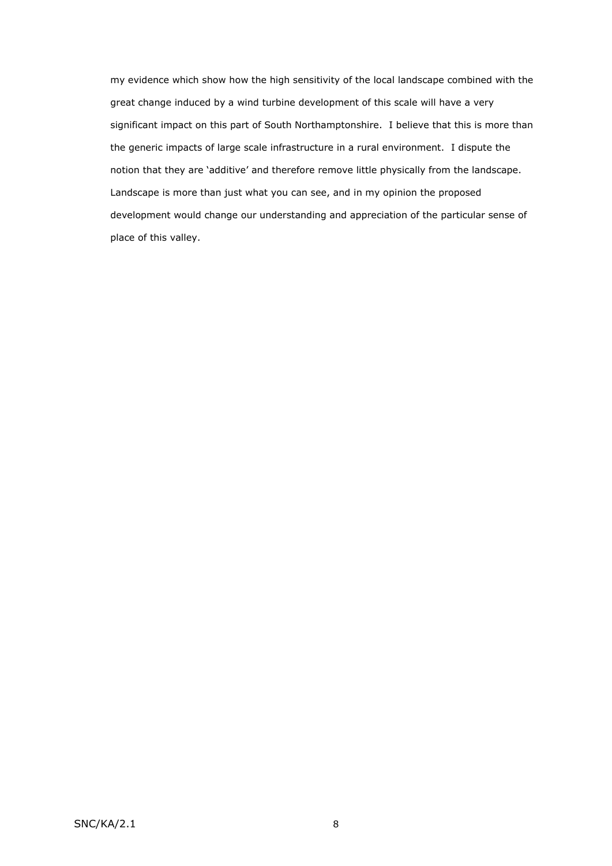my evidence which show how the high sensitivity of the local landscape combined with the great change induced by a wind turbine development of this scale will have a very significant impact on this part of South Northamptonshire. I believe that this is more than the generic impacts of large scale infrastructure in a rural environment. I dispute the notion that they are 'additive' and therefore remove little physically from the landscape. Landscape is more than just what you can see, and in my opinion the proposed development would change our understanding and appreciation of the particular sense of place of this valley.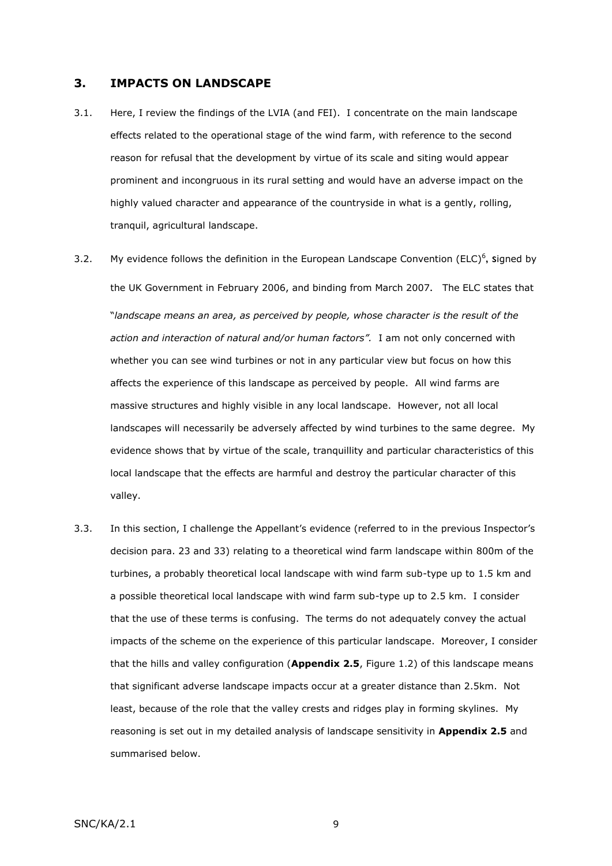## **3. IMPACTS ON LANDSCAPE**

- 3.1. Here, I review the findings of the LVIA (and FEI). I concentrate on the main landscape effects related to the operational stage of the wind farm, with reference to the second reason for refusal that the development by virtue of its scale and siting would appear prominent and incongruous in its rural setting and would have an adverse impact on the highly valued character and appearance of the countryside in what is a gently, rolling, tranquil, agricultural landscape.
- 3.2. My evidence follows the definition in the European Landscape Convention (ELC)<sup>6</sup>, signed by the UK Government in February 2006, and binding from March 2007. The ELC states that "*landscape means an area, as perceived by people, whose character is the result of the action and interaction of natural and/or human factors".* I am not only concerned with whether you can see wind turbines or not in any particular view but focus on how this affects the experience of this landscape as perceived by people. All wind farms are massive structures and highly visible in any local landscape. However, not all local landscapes will necessarily be adversely affected by wind turbines to the same degree. My evidence shows that by virtue of the scale, tranquillity and particular characteristics of this local landscape that the effects are harmful and destroy the particular character of this valley.
- 3.3. In this section, I challenge the Appellant's evidence (referred to in the previous Inspector's decision para. 23 and 33) relating to a theoretical wind farm landscape within 800m of the turbines, a probably theoretical local landscape with wind farm sub-type up to 1.5 km and a possible theoretical local landscape with wind farm sub-type up to 2.5 km. I consider that the use of these terms is confusing. The terms do not adequately convey the actual impacts of the scheme on the experience of this particular landscape. Moreover, I consider that the hills and valley configuration (**Appendix 2.5**, Figure 1.2) of this landscape means that significant adverse landscape impacts occur at a greater distance than 2.5km. Not least, because of the role that the valley crests and ridges play in forming skylines. My reasoning is set out in my detailed analysis of landscape sensitivity in **Appendix 2.5** and summarised below.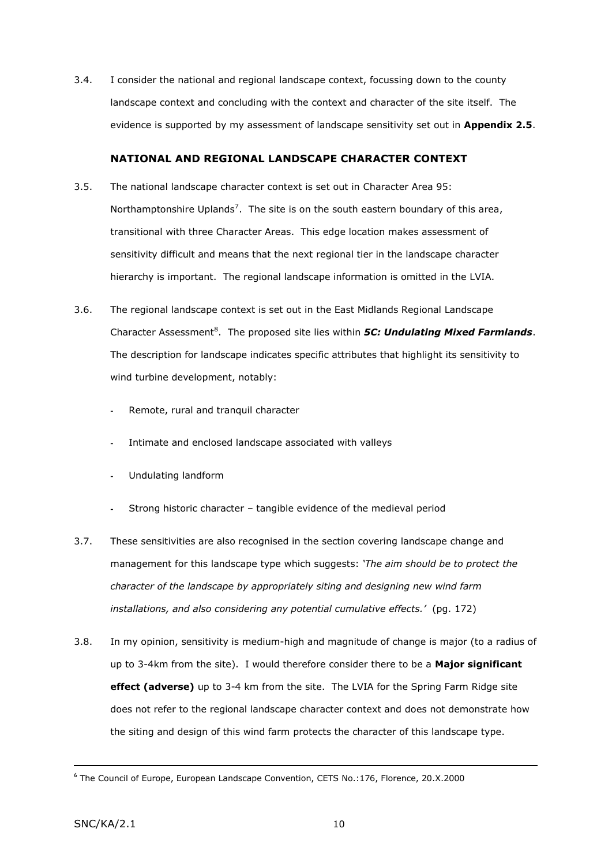3.4. I consider the national and regional landscape context, focussing down to the county landscape context and concluding with the context and character of the site itself. The evidence is supported by my assessment of landscape sensitivity set out in **Appendix 2.5**.

# **NATIONAL AND REGIONAL LANDSCAPE CHARACTER CONTEXT**

- 3.5. The national landscape character context is set out in Character Area 95: Northamptonshire Uplands<sup>7</sup>. The site is on the south eastern boundary of this area, transitional with three Character Areas. This edge location makes assessment of sensitivity difficult and means that the next regional tier in the landscape character hierarchy is important. The regional landscape information is omitted in the LVIA.
- 3.6. The regional landscape context is set out in the East Midlands Regional Landscape Character Assessment<sup>8</sup>. The proposed site lies within *5C: Undulating Mixed Farmlands*. The description for landscape indicates specific attributes that highlight its sensitivity to wind turbine development, notably:
	- Remote, rural and tranquil character
	- Intimate and enclosed landscape associated with valleys
	- Undulating landform
	- Strong historic character tangible evidence of the medieval period
- 3.7. These sensitivities are also recognised in the section covering landscape change and management for this landscape type which suggests: *'The aim should be to protect the character of the landscape by appropriately siting and designing new wind farm installations, and also considering any potential cumulative effects.'* (pg. 172)
- 3.8. In my opinion, sensitivity is medium-high and magnitude of change is major (to a radius of up to 3-4km from the site). I would therefore consider there to be a **Major significant effect (adverse)** up to 3-4 km from the site. The LVIA for the Spring Farm Ridge site does not refer to the regional landscape character context and does not demonstrate how the siting and design of this wind farm protects the character of this landscape type.

<sup>6</sup> The Council of Europe, European Landscape Convention, CETS No.:176, Florence, 20.X.2000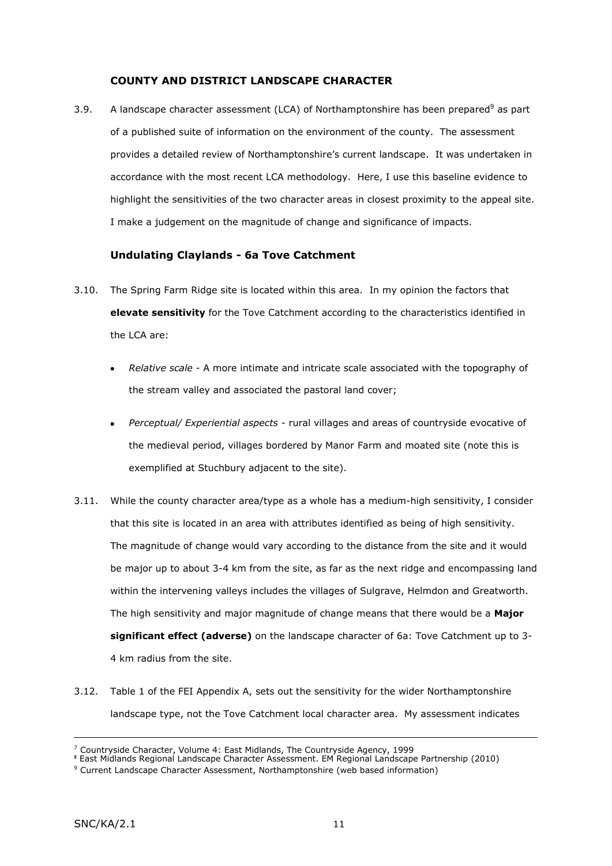# **COUNTY AND DISTRICT LANDSCAPE CHARACTER**

3.9. A landscape character assessment (LCA) of Northamptonshire has been prepared<sup>9</sup> as part of a published suite of information on the environment of the county. The assessment provides a detailed review of Northamptonshire's current landscape. It was undertaken in accordance with the most recent LCA methodology. Here, I use this baseline evidence to highlight the sensitivities of the two character areas in closest proximity to the appeal site. I make a judgement on the magnitude of change and significance of impacts.

# **Undulating Claylands - 6a Tove Catchment**

- 3.10. The Spring Farm Ridge site is located within this area. In my opinion the factors that **elevate sensitivity** for the Tove Catchment according to the characteristics identified in the LCA are:
	- *Relative scale* A more intimate and intricate scale associated with the topography of the stream valley and associated the pastoral land cover;
	- *Perceptual/ Experiential aspects* rural villages and areas of countryside evocative of  $\bullet$ the medieval period, villages bordered by Manor Farm and moated site (note this is exemplified at Stuchbury adjacent to the site).
- 3.11. While the county character area/type as a whole has a medium-high sensitivity, I consider that this site is located in an area with attributes identified as being of high sensitivity. The magnitude of change would vary according to the distance from the site and it would be major up to about 3-4 km from the site, as far as the next ridge and encompassing land within the intervening valleys includes the villages of Sulgrave, Helmdon and Greatworth. The high sensitivity and major magnitude of change means that there would be a **Major significant effect (adverse)** on the landscape character of 6a: Tove Catchment up to 3- 4 km radius from the site.
- 3.12. Table 1 of the FEI Appendix A, sets out the sensitivity for the wider Northamptonshire landscape type, not the Tove Catchment local character area. My assessment indicates

 $<sup>7</sup>$  Countryside Character, Volume 4: East Midlands, The Countryside Agency, 1999</sup>

<sup>8</sup> East Midlands Regional Landscape Character Assessment. EM Regional Landscape Partnership (2010)

<sup>&</sup>lt;sup>9</sup> Current Landscape Character Assessment, Northamptonshire (web based information)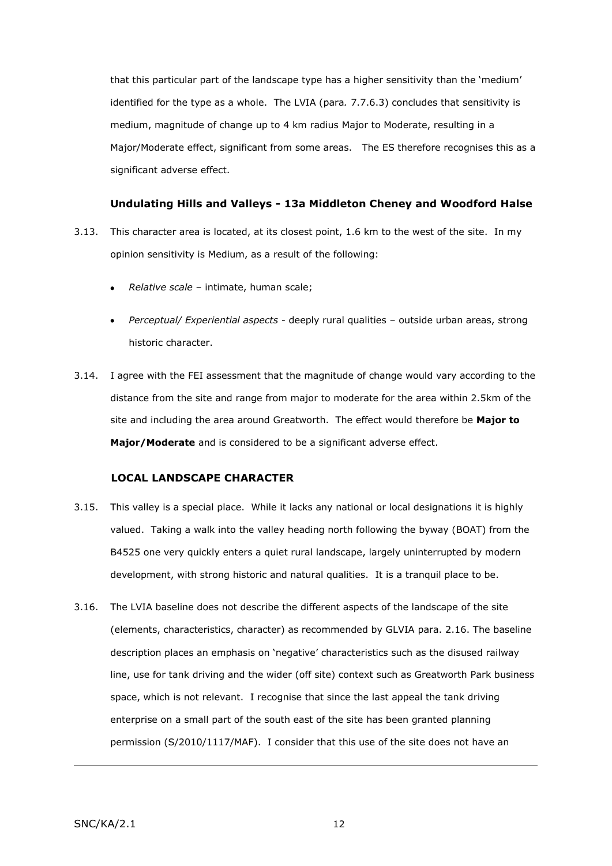that this particular part of the landscape type has a higher sensitivity than the 'medium' identified for the type as a whole. The LVIA (para*.* 7.7.6.3) concludes that sensitivity is medium, magnitude of change up to 4 km radius Major to Moderate, resulting in a Major/Moderate effect, significant from some areas. The ES therefore recognises this as a significant adverse effect.

# **Undulating Hills and Valleys - 13a Middleton Cheney and Woodford Halse**

- 3.13. This character area is located, at its closest point, 1.6 km to the west of the site. In my opinion sensitivity is Medium, as a result of the following:
	- *Relative scale* intimate, human scale;
	- *Perceptual/ Experiential aspects* deeply rural qualities outside urban areas, strong historic character.
- 3.14. I agree with the FEI assessment that the magnitude of change would vary according to the distance from the site and range from major to moderate for the area within 2.5km of the site and including the area around Greatworth. The effect would therefore be **Major to Major/Moderate** and is considered to be a significant adverse effect.

## **LOCAL LANDSCAPE CHARACTER**

- 3.15. This valley is a special place. While it lacks any national or local designations it is highly valued. Taking a walk into the valley heading north following the byway (BOAT) from the B4525 one very quickly enters a quiet rural landscape, largely uninterrupted by modern development, with strong historic and natural qualities. It is a tranquil place to be.
- 3.16. The LVIA baseline does not describe the different aspects of the landscape of the site (elements, characteristics, character) as recommended by GLVIA para. 2.16. The baseline description places an emphasis on 'negative' characteristics such as the disused railway line, use for tank driving and the wider (off site) context such as Greatworth Park business space, which is not relevant. I recognise that since the last appeal the tank driving enterprise on a small part of the south east of the site has been granted planning permission (S/2010/1117/MAF). I consider that this use of the site does not have an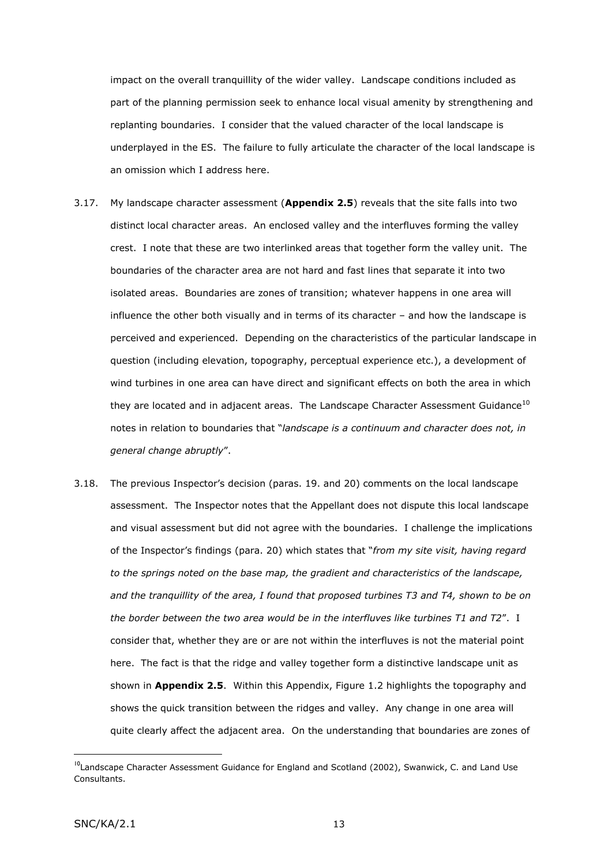impact on the overall tranquillity of the wider valley. Landscape conditions included as part of the planning permission seek to enhance local visual amenity by strengthening and replanting boundaries. I consider that the valued character of the local landscape is underplayed in the ES. The failure to fully articulate the character of the local landscape is an omission which I address here.

- 3.17. My landscape character assessment (**Appendix 2.5**) reveals that the site falls into two distinct local character areas. An enclosed valley and the interfluves forming the valley crest. I note that these are two interlinked areas that together form the valley unit. The boundaries of the character area are not hard and fast lines that separate it into two isolated areas. Boundaries are zones of transition; whatever happens in one area will influence the other both visually and in terms of its character – and how the landscape is perceived and experienced. Depending on the characteristics of the particular landscape in question (including elevation, topography, perceptual experience etc.), a development of wind turbines in one area can have direct and significant effects on both the area in which they are located and in adjacent areas. The Landscape Character Assessment Guidance $^{10}$ notes in relation to boundaries that "*landscape is a continuum and character does not, in general change abruptly*".
- 3.18. The previous Inspector's decision (paras. 19. and 20) comments on the local landscape assessment. The Inspector notes that the Appellant does not dispute this local landscape and visual assessment but did not agree with the boundaries. I challenge the implications of the Inspector's findings (para. 20) which states that "*from my site visit, having regard to the springs noted on the base map, the gradient and characteristics of the landscape, and the tranquillity of the area, I found that proposed turbines T3 and T4, shown to be on the border between the two area would be in the interfluves like turbines T1 and T2*". I consider that, whether they are or are not within the interfluves is not the material point here. The fact is that the ridge and valley together form a distinctive landscape unit as shown in **Appendix 2.5**. Within this Appendix, Figure 1.2 highlights the topography and shows the quick transition between the ridges and valley. Any change in one area will quite clearly affect the adjacent area. On the understanding that boundaries are zones of

<sup>&</sup>lt;sup>10</sup>Landscape Character Assessment Guidance for England and Scotland (2002), Swanwick, C. and Land Use Consultants.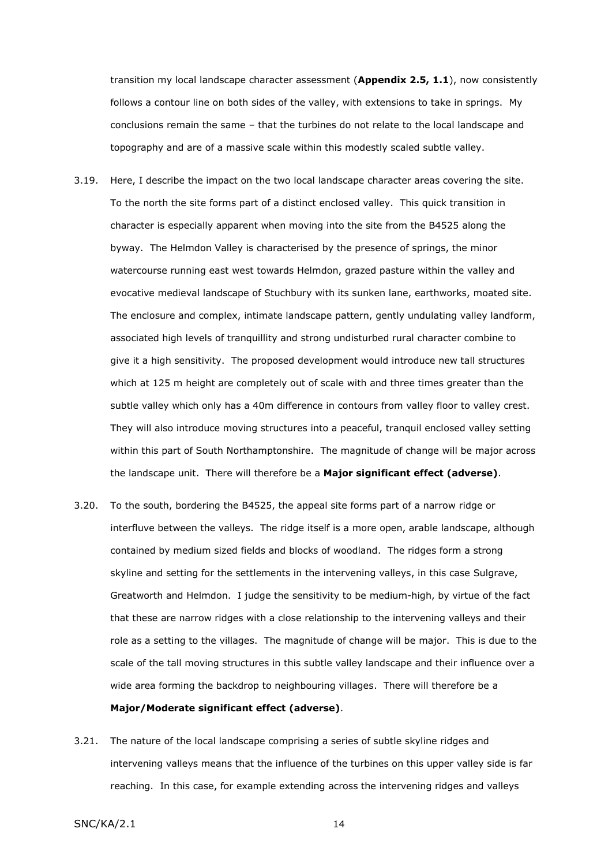transition my local landscape character assessment (**Appendix 2.5, 1.1**), now consistently follows a contour line on both sides of the valley, with extensions to take in springs. My conclusions remain the same – that the turbines do not relate to the local landscape and topography and are of a massive scale within this modestly scaled subtle valley.

- 3.19. Here, I describe the impact on the two local landscape character areas covering the site. To the north the site forms part of a distinct enclosed valley. This quick transition in character is especially apparent when moving into the site from the B4525 along the byway. The Helmdon Valley is characterised by the presence of springs, the minor watercourse running east west towards Helmdon, grazed pasture within the valley and evocative medieval landscape of Stuchbury with its sunken lane, earthworks, moated site. The enclosure and complex, intimate landscape pattern, gently undulating valley landform, associated high levels of tranquillity and strong undisturbed rural character combine to give it a high sensitivity. The proposed development would introduce new tall structures which at 125 m height are completely out of scale with and three times greater than the subtle valley which only has a 40m difference in contours from valley floor to valley crest. They will also introduce moving structures into a peaceful, tranquil enclosed valley setting within this part of South Northamptonshire. The magnitude of change will be major across the landscape unit. There will therefore be a **Major significant effect (adverse)**.
- 3.20. To the south, bordering the B4525, the appeal site forms part of a narrow ridge or interfluve between the valleys. The ridge itself is a more open, arable landscape, although contained by medium sized fields and blocks of woodland. The ridges form a strong skyline and setting for the settlements in the intervening valleys, in this case Sulgrave, Greatworth and Helmdon. I judge the sensitivity to be medium-high, by virtue of the fact that these are narrow ridges with a close relationship to the intervening valleys and their role as a setting to the villages. The magnitude of change will be major. This is due to the scale of the tall moving structures in this subtle valley landscape and their influence over a wide area forming the backdrop to neighbouring villages. There will therefore be a **Major/Moderate significant effect (adverse)**.
- 3.21. The nature of the local landscape comprising a series of subtle skyline ridges and intervening valleys means that the influence of the turbines on this upper valley side is far reaching. In this case, for example extending across the intervening ridges and valleys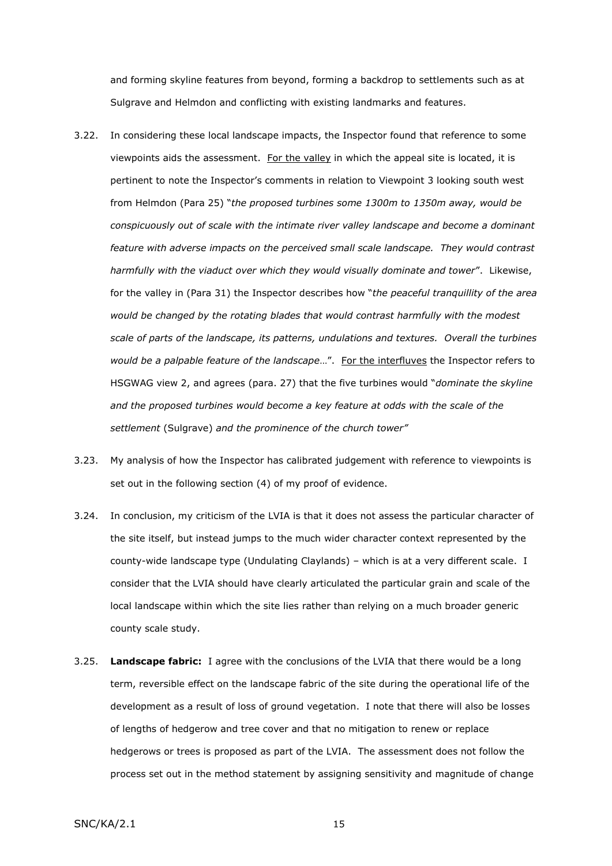and forming skyline features from beyond, forming a backdrop to settlements such as at Sulgrave and Helmdon and conflicting with existing landmarks and features.

- 3.22. In considering these local landscape impacts, the Inspector found that reference to some viewpoints aids the assessment. For the valley in which the appeal site is located, it is pertinent to note the Inspector's comments in relation to Viewpoint 3 looking south west from Helmdon (Para 25) "*the proposed turbines some 1300m to 1350m away, would be conspicuously out of scale with the intimate river valley landscape and become a dominant feature with adverse impacts on the perceived small scale landscape. They would contrast harmfully with the viaduct over which they would visually dominate and tower*". Likewise, for the valley in (Para 31) the Inspector describes how "*the peaceful tranquillity of the area would be changed by the rotating blades that would contrast harmfully with the modest scale of parts of the landscape, its patterns, undulations and textures. Overall the turbines would be a palpable feature of the landscape*…". For the interfluves the Inspector refers to HSGWAG view 2, and agrees (para. 27) that the five turbines would "*dominate the skyline and the proposed turbines would become a key feature at odds with the scale of the settlement* (Sulgrave) *and the prominence of the church tower"*
- 3.23. My analysis of how the Inspector has calibrated judgement with reference to viewpoints is set out in the following section (4) of my proof of evidence.
- 3.24. In conclusion, my criticism of the LVIA is that it does not assess the particular character of the site itself, but instead jumps to the much wider character context represented by the county-wide landscape type (Undulating Claylands) – which is at a very different scale. I consider that the LVIA should have clearly articulated the particular grain and scale of the local landscape within which the site lies rather than relying on a much broader generic county scale study.
- 3.25. **Landscape fabric:** I agree with the conclusions of the LVIA that there would be a long term, reversible effect on the landscape fabric of the site during the operational life of the development as a result of loss of ground vegetation. I note that there will also be losses of lengths of hedgerow and tree cover and that no mitigation to renew or replace hedgerows or trees is proposed as part of the LVIA. The assessment does not follow the process set out in the method statement by assigning sensitivity and magnitude of change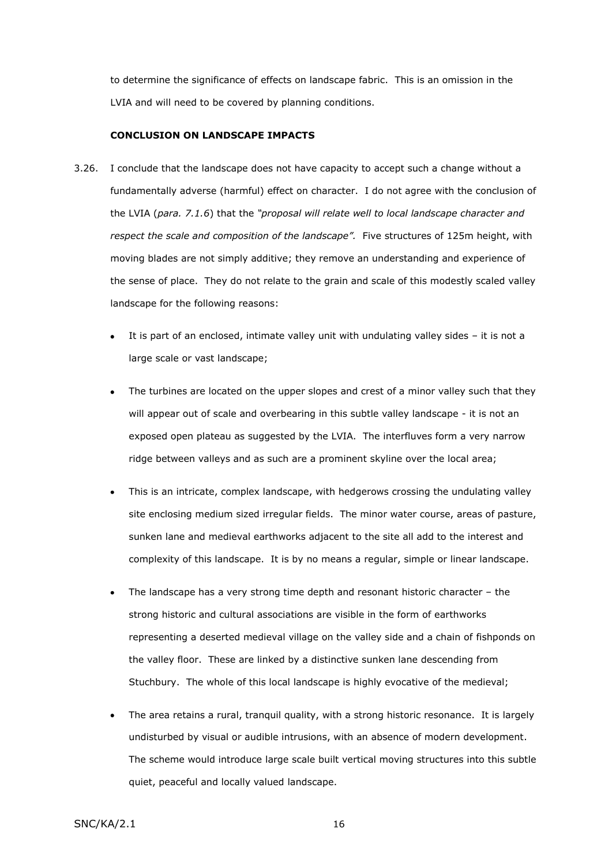to determine the significance of effects on landscape fabric. This is an omission in the LVIA and will need to be covered by planning conditions.

#### **CONCLUSION ON LANDSCAPE IMPACTS**

- 3.26. I conclude that the landscape does not have capacity to accept such a change without a fundamentally adverse (harmful) effect on character. I do not agree with the conclusion of the LVIA (*para. 7.1.6*) that the *"proposal will relate well to local landscape character and respect the scale and composition of the landscape".* Five structures of 125m height, with moving blades are not simply additive; they remove an understanding and experience of the sense of place. They do not relate to the grain and scale of this modestly scaled valley landscape for the following reasons:
	- It is part of an enclosed, intimate valley unit with undulating valley sides it is not a large scale or vast landscape;
	- The turbines are located on the upper slopes and crest of a minor valley such that they will appear out of scale and overbearing in this subtle valley landscape - it is not an exposed open plateau as suggested by the LVIA. The interfluves form a very narrow ridge between valleys and as such are a prominent skyline over the local area;
	- $\bullet$ This is an intricate, complex landscape, with hedgerows crossing the undulating valley site enclosing medium sized irregular fields. The minor water course, areas of pasture, sunken lane and medieval earthworks adjacent to the site all add to the interest and complexity of this landscape. It is by no means a regular, simple or linear landscape.
	- The landscape has a very strong time depth and resonant historic character the strong historic and cultural associations are visible in the form of earthworks representing a deserted medieval village on the valley side and a chain of fishponds on the valley floor. These are linked by a distinctive sunken lane descending from Stuchbury. The whole of this local landscape is highly evocative of the medieval;
	- The area retains a rural, tranquil quality, with a strong historic resonance. It is largely undisturbed by visual or audible intrusions, with an absence of modern development. The scheme would introduce large scale built vertical moving structures into this subtle quiet, peaceful and locally valued landscape.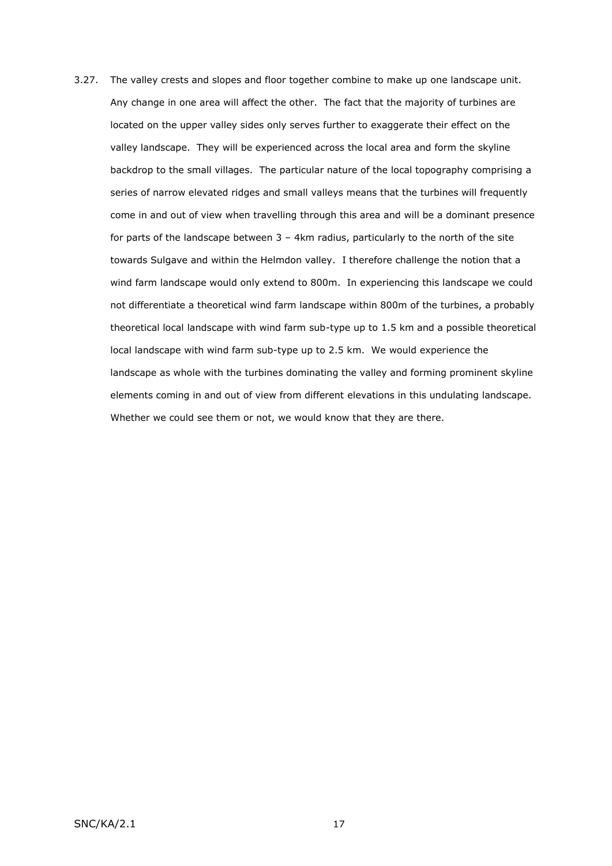3.27. The valley crests and slopes and floor together combine to make up one landscape unit. Any change in one area will affect the other. The fact that the majority of turbines are located on the upper valley sides only serves further to exaggerate their effect on the valley landscape. They will be experienced across the local area and form the skyline backdrop to the small villages. The particular nature of the local topography comprising a series of narrow elevated ridges and small valleys means that the turbines will frequently come in and out of view when travelling through this area and will be a dominant presence for parts of the landscape between  $3 - 4$ km radius, particularly to the north of the site towards Sulgave and within the Helmdon valley. I therefore challenge the notion that a wind farm landscape would only extend to 800m. In experiencing this landscape we could not differentiate a theoretical wind farm landscape within 800m of the turbines, a probably theoretical local landscape with wind farm sub-type up to 1.5 km and a possible theoretical local landscape with wind farm sub-type up to 2.5 km. We would experience the landscape as whole with the turbines dominating the valley and forming prominent skyline elements coming in and out of view from different elevations in this undulating landscape. Whether we could see them or not, we would know that they are there.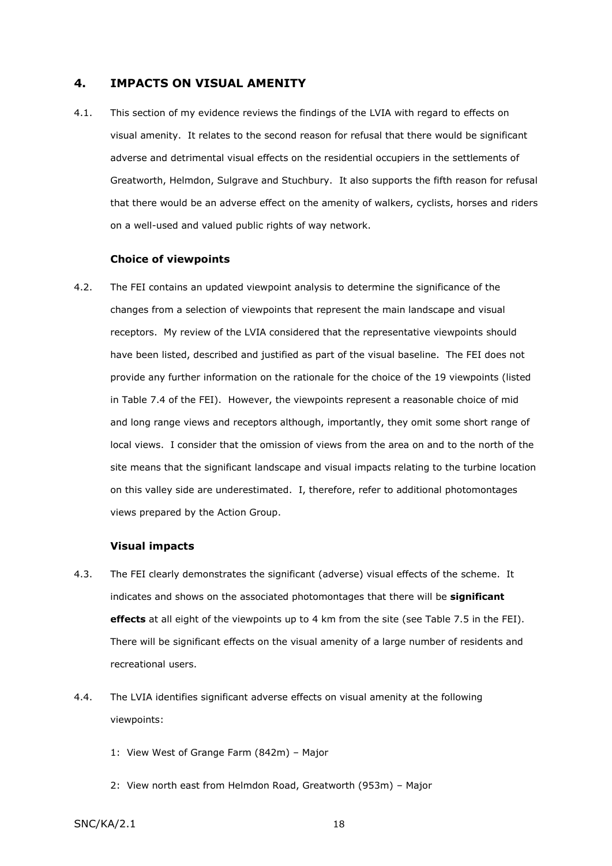## **4. IMPACTS ON VISUAL AMENITY**

4.1. This section of my evidence reviews the findings of the LVIA with regard to effects on visual amenity. It relates to the second reason for refusal that there would be significant adverse and detrimental visual effects on the residential occupiers in the settlements of Greatworth, Helmdon, Sulgrave and Stuchbury. It also supports the fifth reason for refusal that there would be an adverse effect on the amenity of walkers, cyclists, horses and riders on a well-used and valued public rights of way network.

#### **Choice of viewpoints**

4.2. The FEI contains an updated viewpoint analysis to determine the significance of the changes from a selection of viewpoints that represent the main landscape and visual receptors. My review of the LVIA considered that the representative viewpoints should have been listed, described and justified as part of the visual baseline. The FEI does not provide any further information on the rationale for the choice of the 19 viewpoints (listed in Table 7.4 of the FEI). However, the viewpoints represent a reasonable choice of mid and long range views and receptors although, importantly, they omit some short range of local views. I consider that the omission of views from the area on and to the north of the site means that the significant landscape and visual impacts relating to the turbine location on this valley side are underestimated. I, therefore, refer to additional photomontages views prepared by the Action Group.

## **Visual impacts**

- 4.3. The FEI clearly demonstrates the significant (adverse) visual effects of the scheme. It indicates and shows on the associated photomontages that there will be **significant effects** at all eight of the viewpoints up to 4 km from the site (see Table 7.5 in the FEI). There will be significant effects on the visual amenity of a large number of residents and recreational users.
- 4.4. The LVIA identifies significant adverse effects on visual amenity at the following viewpoints:
	- 1: View West of Grange Farm (842m) Major
	- 2: View north east from Helmdon Road, Greatworth (953m) Major
- $SNC/KA/2.1$  18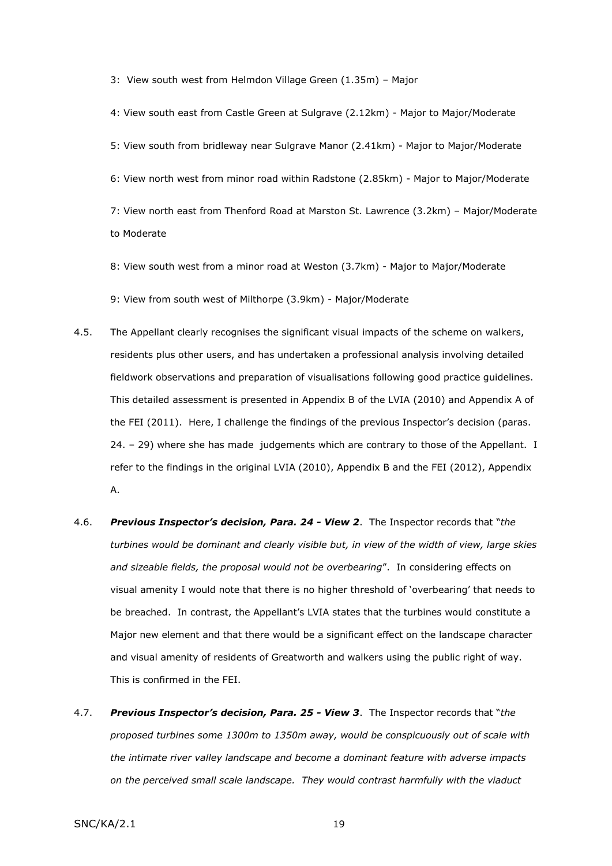3: View south west from Helmdon Village Green (1.35m) – Major

4: View south east from Castle Green at Sulgrave (2.12km) - Major to Major/Moderate 5: View south from bridleway near Sulgrave Manor (2.41km) - Major to Major/Moderate 6: View north west from minor road within Radstone (2.85km) - Major to Major/Moderate 7: View north east from Thenford Road at Marston St. Lawrence (3.2km) – Major/Moderate to Moderate

8: View south west from a minor road at Weston (3.7km) - Major to Major/Moderate

9: View from south west of Milthorpe (3.9km) - Major/Moderate

- 4.5. The Appellant clearly recognises the significant visual impacts of the scheme on walkers, residents plus other users, and has undertaken a professional analysis involving detailed fieldwork observations and preparation of visualisations following good practice guidelines. This detailed assessment is presented in Appendix B of the LVIA (2010) and Appendix A of the FEI (2011). Here, I challenge the findings of the previous Inspector's decision (paras. 24. – 29) where she has made judgements which are contrary to those of the Appellant. I refer to the findings in the original LVIA (2010), Appendix B and the FEI (2012), Appendix A.
- 4.6. *Previous Inspector's decision, Para. 24 - View 2*. The Inspector records that "*the turbines would be dominant and clearly visible but, in view of the width of view, large skies and sizeable fields, the proposal would not be overbearing*". In considering effects on visual amenity I would note that there is no higher threshold of 'overbearing' that needs to be breached. In contrast, the Appellant's LVIA states that the turbines would constitute a Major new element and that there would be a significant effect on the landscape character and visual amenity of residents of Greatworth and walkers using the public right of way. This is confirmed in the FEI.
- 4.7. *Previous Inspector's decision, Para. 25 - View 3*. The Inspector records that "*the proposed turbines some 1300m to 1350m away, would be conspicuously out of scale with the intimate river valley landscape and become a dominant feature with adverse impacts on the perceived small scale landscape. They would contrast harmfully with the viaduct*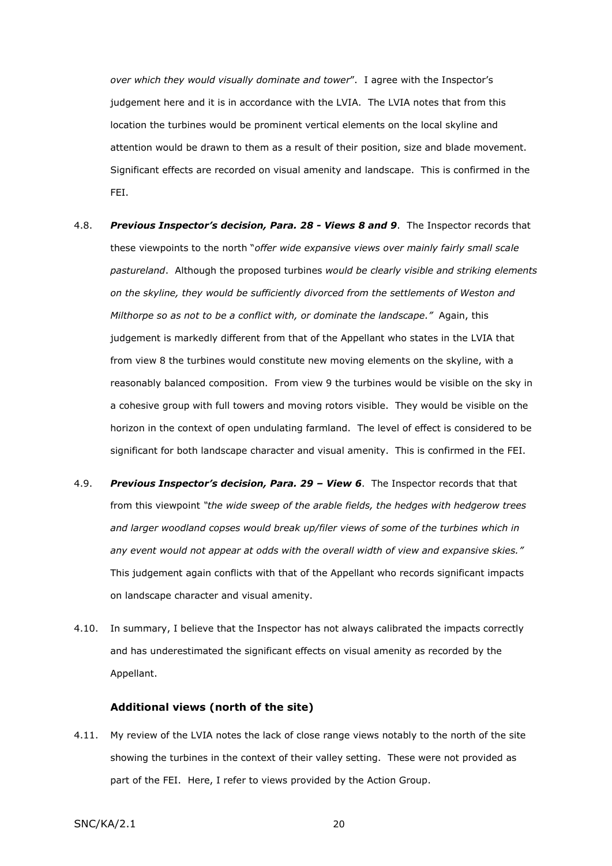*over which they would visually dominate and tower*". I agree with the Inspector's judgement here and it is in accordance with the LVIA. The LVIA notes that from this location the turbines would be prominent vertical elements on the local skyline and attention would be drawn to them as a result of their position, size and blade movement. Significant effects are recorded on visual amenity and landscape. This is confirmed in the FEI.

- 4.8. *Previous Inspector's decision, Para. 28 - Views 8 and 9*. The Inspector records that these viewpoints to the north "*offer wide expansive views over mainly fairly small scale pastureland*. Although the proposed turbines *would be clearly visible and striking elements on the skyline, they would be sufficiently divorced from the settlements of Weston and Milthorpe so as not to be a conflict with, or dominate the landscape."* Again, this judgement is markedly different from that of the Appellant who states in the LVIA that from view 8 the turbines would constitute new moving elements on the skyline, with a reasonably balanced composition. From view 9 the turbines would be visible on the sky in a cohesive group with full towers and moving rotors visible. They would be visible on the horizon in the context of open undulating farmland. The level of effect is considered to be significant for both landscape character and visual amenity. This is confirmed in the FEI.
- 4.9. *Previous Inspector's decision, Para. 29 – View 6*. The Inspector records that that from this viewpoint *"the wide sweep of the arable fields, the hedges with hedgerow trees and larger woodland copses would break up/filer views of some of the turbines which in any event would not appear at odds with the overall width of view and expansive skies."*  This judgement again conflicts with that of the Appellant who records significant impacts on landscape character and visual amenity.
- 4.10. In summary, I believe that the Inspector has not always calibrated the impacts correctly and has underestimated the significant effects on visual amenity as recorded by the Appellant.

#### **Additional views (north of the site)**

4.11. My review of the LVIA notes the lack of close range views notably to the north of the site showing the turbines in the context of their valley setting. These were not provided as part of the FEI. Here, I refer to views provided by the Action Group.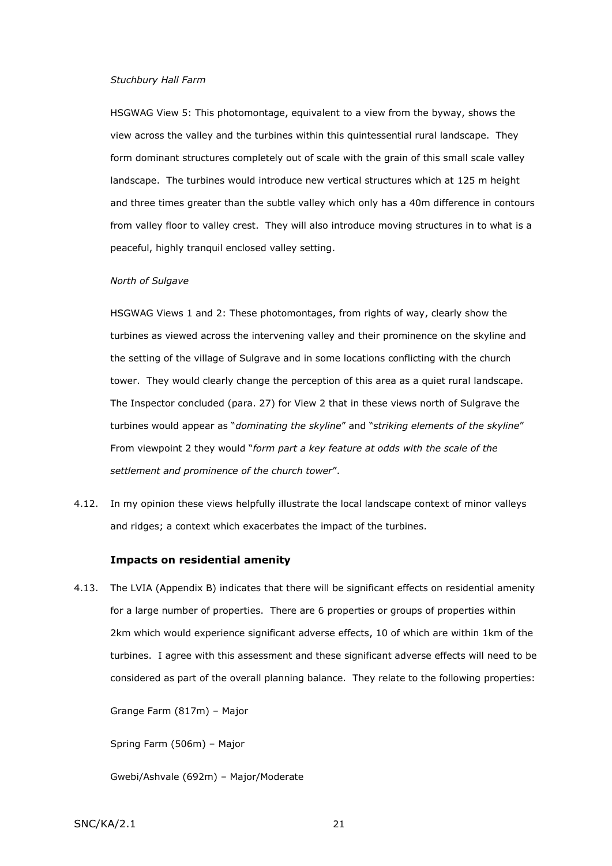#### *Stuchbury Hall Farm*

HSGWAG View 5: This photomontage, equivalent to a view from the byway, shows the view across the valley and the turbines within this quintessential rural landscape. They form dominant structures completely out of scale with the grain of this small scale valley landscape. The turbines would introduce new vertical structures which at 125 m height and three times greater than the subtle valley which only has a 40m difference in contours from valley floor to valley crest. They will also introduce moving structures in to what is a peaceful, highly tranquil enclosed valley setting.

#### *North of Sulgave*

HSGWAG Views 1 and 2: These photomontages, from rights of way, clearly show the turbines as viewed across the intervening valley and their prominence on the skyline and the setting of the village of Sulgrave and in some locations conflicting with the church tower. They would clearly change the perception of this area as a quiet rural landscape. The Inspector concluded (para. 27) for View 2 that in these views north of Sulgrave the turbines would appear as "*dominating the skyline*" and "*striking elements of the skyline*" From viewpoint 2 they would "*form part a key feature at odds with the scale of the settlement and prominence of the church tower*".

4.12. In my opinion these views helpfully illustrate the local landscape context of minor valleys and ridges; a context which exacerbates the impact of the turbines.

#### **Impacts on residential amenity**

4.13. The LVIA (Appendix B) indicates that there will be significant effects on residential amenity for a large number of properties. There are 6 properties or groups of properties within 2km which would experience significant adverse effects, 10 of which are within 1km of the turbines. I agree with this assessment and these significant adverse effects will need to be considered as part of the overall planning balance. They relate to the following properties:

Grange Farm (817m) – Major

Spring Farm (506m) – Major

Gwebi/Ashvale (692m) – Major/Moderate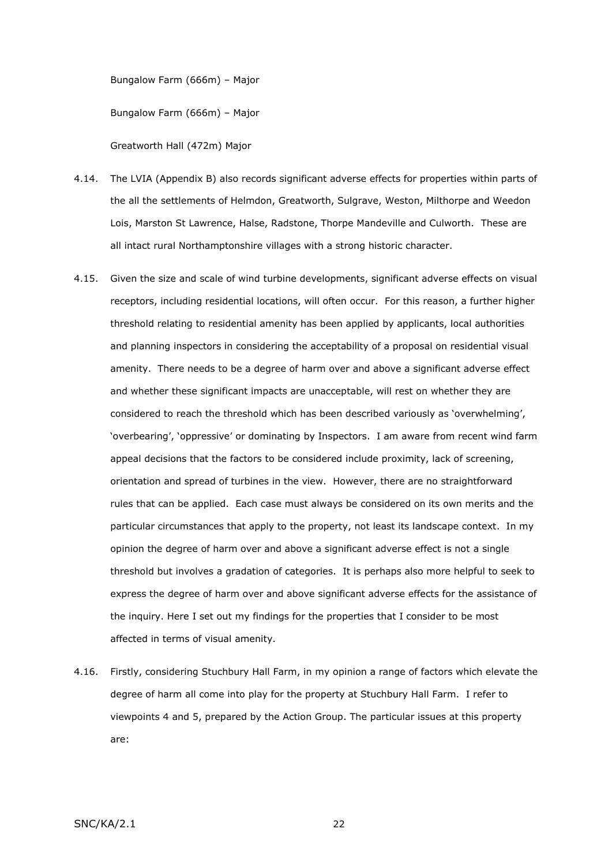Bungalow Farm (666m) – Major

Bungalow Farm (666m) – Major

Greatworth Hall (472m) Major

- 4.14. The LVIA (Appendix B) also records significant adverse effects for properties within parts of the all the settlements of Helmdon, Greatworth, Sulgrave, Weston, Milthorpe and Weedon Lois, Marston St Lawrence, Halse, Radstone, Thorpe Mandeville and Culworth. These are all intact rural Northamptonshire villages with a strong historic character.
- 4.15. Given the size and scale of wind turbine developments, significant adverse effects on visual receptors, including residential locations, will often occur. For this reason, a further higher threshold relating to residential amenity has been applied by applicants, local authorities and planning inspectors in considering the acceptability of a proposal on residential visual amenity. There needs to be a degree of harm over and above a significant adverse effect and whether these significant impacts are unacceptable, will rest on whether they are considered to reach the threshold which has been described variously as 'overwhelming', 'overbearing', 'oppressive' or dominating by Inspectors. I am aware from recent wind farm appeal decisions that the factors to be considered include proximity, lack of screening, orientation and spread of turbines in the view. However, there are no straightforward rules that can be applied. Each case must always be considered on its own merits and the particular circumstances that apply to the property, not least its landscape context. In my opinion the degree of harm over and above a significant adverse effect is not a single threshold but involves a gradation of categories. It is perhaps also more helpful to seek to express the degree of harm over and above significant adverse effects for the assistance of the inquiry. Here I set out my findings for the properties that I consider to be most affected in terms of visual amenity.
- 4.16. Firstly, considering Stuchbury Hall Farm, in my opinion a range of factors which elevate the degree of harm all come into play for the property at Stuchbury Hall Farm. I refer to viewpoints 4 and 5, prepared by the Action Group. The particular issues at this property are: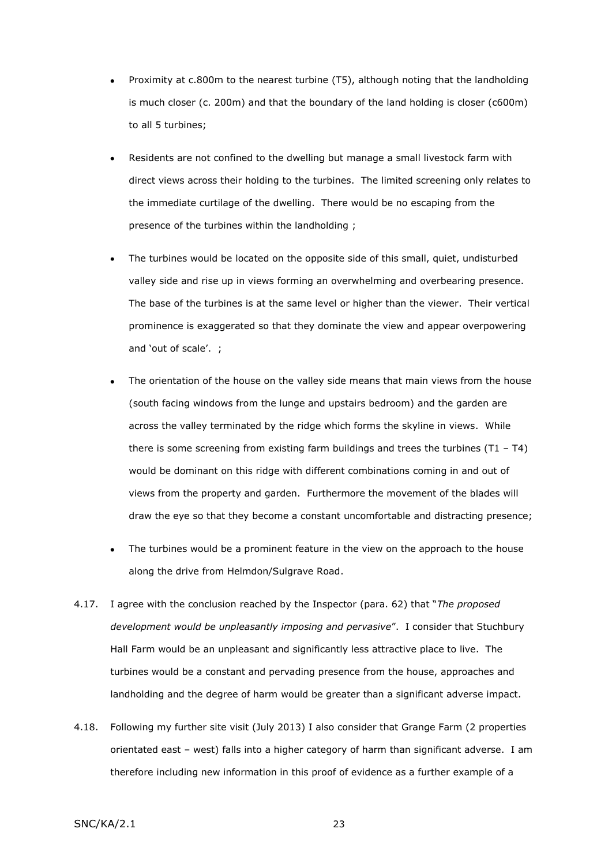- Proximity at c.800m to the nearest turbine (T5), although noting that the landholding is much closer (c. 200m) and that the boundary of the land holding is closer (c600m) to all 5 turbines;
- Residents are not confined to the dwelling but manage a small livestock farm with direct views across their holding to the turbines. The limited screening only relates to the immediate curtilage of the dwelling. There would be no escaping from the presence of the turbines within the landholding ;
- The turbines would be located on the opposite side of this small, quiet, undisturbed  $\bullet$ valley side and rise up in views forming an overwhelming and overbearing presence. The base of the turbines is at the same level or higher than the viewer. Their vertical prominence is exaggerated so that they dominate the view and appear overpowering and 'out of scale'. ;
- The orientation of the house on the valley side means that main views from the house  $\bullet$ (south facing windows from the lunge and upstairs bedroom) and the garden are across the valley terminated by the ridge which forms the skyline in views. While there is some screening from existing farm buildings and trees the turbines (T1 – T4) would be dominant on this ridge with different combinations coming in and out of views from the property and garden. Furthermore the movement of the blades will draw the eye so that they become a constant uncomfortable and distracting presence;
- The turbines would be a prominent feature in the view on the approach to the house  $\bullet$ along the drive from Helmdon/Sulgrave Road.
- 4.17. I agree with the conclusion reached by the Inspector (para. 62) that "*The proposed development would be unpleasantly imposing and pervasive*". I consider that Stuchbury Hall Farm would be an unpleasant and significantly less attractive place to live. The turbines would be a constant and pervading presence from the house, approaches and landholding and the degree of harm would be greater than a significant adverse impact.
- 4.18. Following my further site visit (July 2013) I also consider that Grange Farm (2 properties orientated east – west) falls into a higher category of harm than significant adverse. I am therefore including new information in this proof of evidence as a further example of a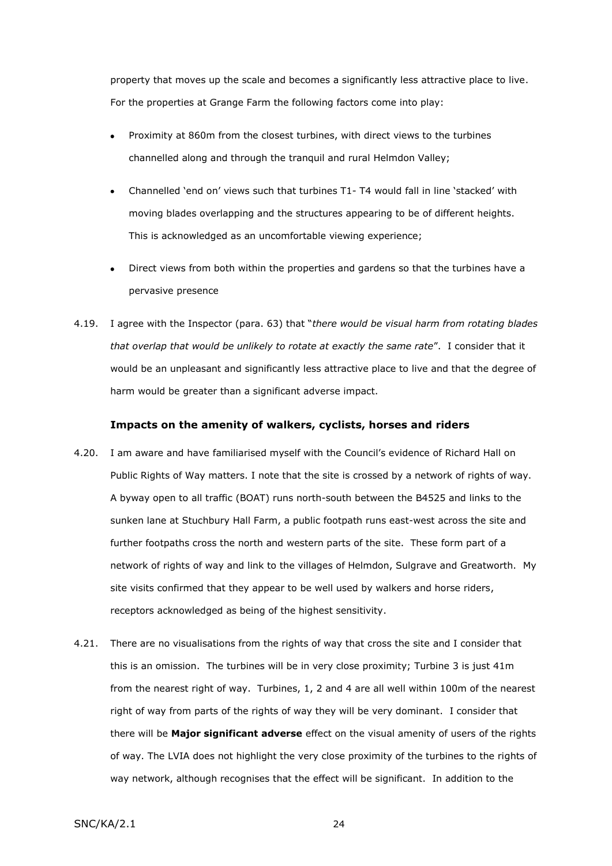property that moves up the scale and becomes a significantly less attractive place to live. For the properties at Grange Farm the following factors come into play:

- Proximity at 860m from the closest turbines, with direct views to the turbines channelled along and through the tranquil and rural Helmdon Valley;
- Channelled 'end on' views such that turbines T1- T4 would fall in line 'stacked' with  $\bullet$ moving blades overlapping and the structures appearing to be of different heights. This is acknowledged as an uncomfortable viewing experience;
- Direct views from both within the properties and gardens so that the turbines have a  $\bullet$ pervasive presence
- 4.19. I agree with the Inspector (para. 63) that "*there would be visual harm from rotating blades that overlap that would be unlikely to rotate at exactly the same rate*". I consider that it would be an unpleasant and significantly less attractive place to live and that the degree of harm would be greater than a significant adverse impact.

### **Impacts on the amenity of walkers, cyclists, horses and riders**

- 4.20. I am aware and have familiarised myself with the Council's evidence of Richard Hall on Public Rights of Way matters. I note that the site is crossed by a network of rights of way. A byway open to all traffic (BOAT) runs north-south between the B4525 and links to the sunken lane at Stuchbury Hall Farm, a public footpath runs east-west across the site and further footpaths cross the north and western parts of the site. These form part of a network of rights of way and link to the villages of Helmdon, Sulgrave and Greatworth. My site visits confirmed that they appear to be well used by walkers and horse riders, receptors acknowledged as being of the highest sensitivity.
- 4.21. There are no visualisations from the rights of way that cross the site and I consider that this is an omission. The turbines will be in very close proximity; Turbine 3 is just 41m from the nearest right of way. Turbines, 1, 2 and 4 are all well within 100m of the nearest right of way from parts of the rights of way they will be very dominant. I consider that there will be **Major significant adverse** effect on the visual amenity of users of the rights of way. The LVIA does not highlight the very close proximity of the turbines to the rights of way network, although recognises that the effect will be significant. In addition to the